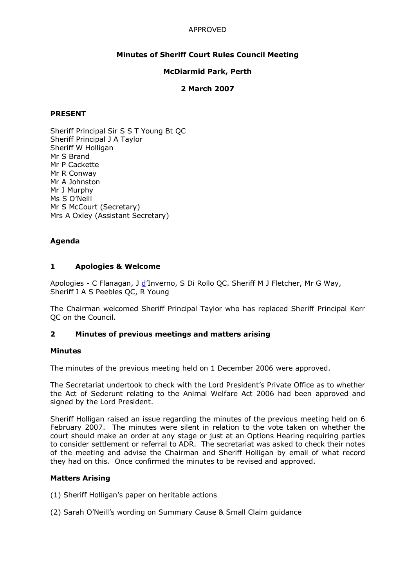# APPROVED

## Minutes of Sheriff Court Rules Council Meeting

### McDiarmid Park, Perth

### 2 March 2007

### PRESENT

Sheriff Principal Sir S S T Young Bt QC Sheriff Principal J A Taylor Sheriff W Holligan Mr S Brand Mr P Cackette Mr R Conway Mr A Johnston Mr J Murphy Ms S O'Neill Mr S McCourt (Secretary) Mrs A Oxley (Assistant Secretary)

## Agenda

### 1 Apologies & Welcome

Apologies - C Flanagan, J d'Inverno, S Di Rollo QC. Sheriff M J Fletcher, Mr G Way, Sheriff I A S Peebles QC, R Young

The Chairman welcomed Sheriff Principal Taylor who has replaced Sheriff Principal Kerr QC on the Council.

### 2 Minutes of previous meetings and matters arising

### Minutes

The minutes of the previous meeting held on 1 December 2006 were approved.

The Secretariat undertook to check with the Lord President's Private Office as to whether the Act of Sederunt relating to the Animal Welfare Act 2006 had been approved and signed by the Lord President.

Sheriff Holligan raised an issue regarding the minutes of the previous meeting held on 6 February 2007. The minutes were silent in relation to the vote taken on whether the court should make an order at any stage or just at an Options Hearing requiring parties to consider settlement or referral to ADR. The secretariat was asked to check their notes of the meeting and advise the Chairman and Sheriff Holligan by email of what record they had on this. Once confirmed the minutes to be revised and approved.

### Matters Arising

(1) Sheriff Holligan's paper on heritable actions

(2) Sarah O'Neill's wording on Summary Cause & Small Claim guidance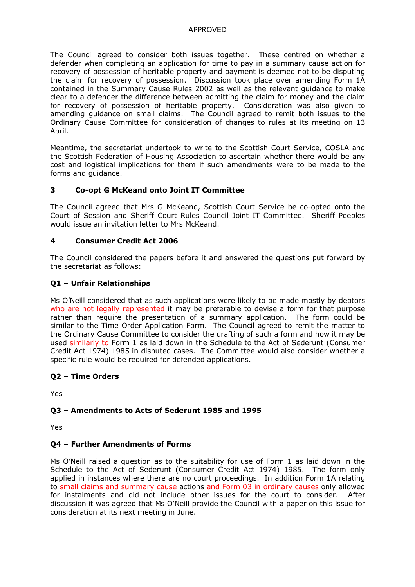## APPROVED

The Council agreed to consider both issues together. These centred on whether a defender when completing an application for time to pay in a summary cause action for recovery of possession of heritable property and payment is deemed not to be disputing the claim for recovery of possession. Discussion took place over amending Form 1A contained in the Summary Cause Rules 2002 as well as the relevant guidance to make clear to a defender the difference between admitting the claim for money and the claim for recovery of possession of heritable property. Consideration was also given to amending guidance on small claims. The Council agreed to remit both issues to the Ordinary Cause Committee for consideration of changes to rules at its meeting on 13 April.

Meantime, the secretariat undertook to write to the Scottish Court Service, COSLA and the Scottish Federation of Housing Association to ascertain whether there would be any cost and logistical implications for them if such amendments were to be made to the forms and guidance.

# 3 Co-opt G McKeand onto Joint IT Committee

The Council agreed that Mrs G McKeand, Scottish Court Service be co-opted onto the Court of Session and Sheriff Court Rules Council Joint IT Committee. Sheriff Peebles would issue an invitation letter to Mrs McKeand.

## 4 Consumer Credit Act 2006

The Council considered the papers before it and answered the questions put forward by the secretariat as follows:

# Q1 – Unfair Relationships

Ms O'Neill considered that as such applications were likely to be made mostly by debtors who are not legally represented it may be preferable to devise a form for that purpose rather than require the presentation of a summary application. The form could be similar to the Time Order Application Form. The Council agreed to remit the matter to the Ordinary Cause Committee to consider the drafting of such a form and how it may be used similarly to Form 1 as laid down in the Schedule to the Act of Sederunt (Consumer Credit Act 1974) 1985 in disputed cases. The Committee would also consider whether a specific rule would be required for defended applications.

# Q2 – Time Orders

Yes

# Q3 – Amendments to Acts of Sederunt 1985 and 1995

Yes

### Q4 – Further Amendments of Forms

Ms O'Neill raised a question as to the suitability for use of Form 1 as laid down in the Schedule to the Act of Sederunt (Consumer Credit Act 1974) 1985. The form only applied in instances where there are no court proceedings. In addition Form 1A relating to small claims and summary cause actions and Form 03 in ordinary causes only allowed for instalments and did not include other issues for the court to consider. After discussion it was agreed that Ms O'Neill provide the Council with a paper on this issue for consideration at its next meeting in June.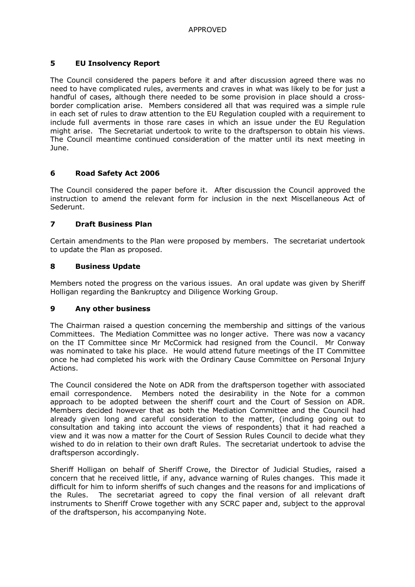# 5 EU Insolvency Report

The Council considered the papers before it and after discussion agreed there was no need to have complicated rules, averments and craves in what was likely to be for just a handful of cases, although there needed to be some provision in place should a crossborder complication arise. Members considered all that was required was a simple rule in each set of rules to draw attention to the EU Regulation coupled with a requirement to include full averments in those rare cases in which an issue under the EU Regulation might arise. The Secretariat undertook to write to the draftsperson to obtain his views. The Council meantime continued consideration of the matter until its next meeting in June.

## 6 Road Safety Act 2006

The Council considered the paper before it. After discussion the Council approved the instruction to amend the relevant form for inclusion in the next Miscellaneous Act of Sederunt.

## 7 Draft Business Plan

Certain amendments to the Plan were proposed by members. The secretariat undertook to update the Plan as proposed.

## 8 Business Update

Members noted the progress on the various issues. An oral update was given by Sheriff Holligan regarding the Bankruptcy and Diligence Working Group.

### 9 Any other business

The Chairman raised a question concerning the membership and sittings of the various Committees. The Mediation Committee was no longer active. There was now a vacancy on the IT Committee since Mr McCormick had resigned from the Council. Mr Conway was nominated to take his place. He would attend future meetings of the IT Committee once he had completed his work with the Ordinary Cause Committee on Personal Injury Actions.

The Council considered the Note on ADR from the draftsperson together with associated email correspondence. Members noted the desirability in the Note for a common approach to be adopted between the sheriff court and the Court of Session on ADR. Members decided however that as both the Mediation Committee and the Council had already given long and careful consideration to the matter, (including going out to consultation and taking into account the views of respondents) that it had reached a view and it was now a matter for the Court of Session Rules Council to decide what they wished to do in relation to their own draft Rules. The secretariat undertook to advise the draftsperson accordingly.

Sheriff Holligan on behalf of Sheriff Crowe, the Director of Judicial Studies, raised a concern that he received little, if any, advance warning of Rules changes. This made it difficult for him to inform sheriffs of such changes and the reasons for and implications of the Rules. The secretariat agreed to copy the final version of all relevant draft instruments to Sheriff Crowe together with any SCRC paper and, subject to the approval of the draftsperson, his accompanying Note.